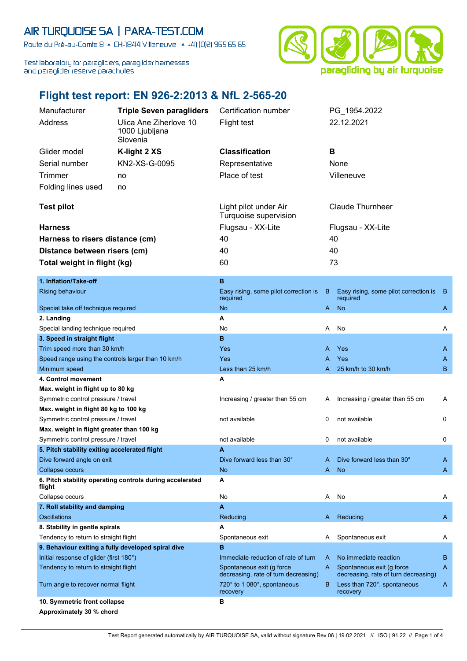## AIR TURQUOISE SA | PARA-TEST.COM

Route du Pré-au-Comte 8 & CH-1844 Villeneuve | 4 +41 (0)21 965 65 65

Test laboratory for paragliders, paraglider harnesses and paraglider reserve parachutes



## **Flight test report: EN 926-2:2013 & NfL 2-565-20**

| Manufacturer                                       | <b>Triple Seven paragliders</b>                          | Certification number                                              |    | PG_1954.2022                                                      |     |
|----------------------------------------------------|----------------------------------------------------------|-------------------------------------------------------------------|----|-------------------------------------------------------------------|-----|
| Address                                            | Ulica Ane Ziherlove 10<br>1000 Ljubljana<br>Slovenia     | <b>Flight test</b>                                                |    | 22.12.2021                                                        |     |
| Glider model                                       | K-light 2 XS                                             | <b>Classification</b>                                             | в  |                                                                   |     |
| Serial number                                      | KN2-XS-G-0095                                            | Representative                                                    |    | None                                                              |     |
|                                                    |                                                          |                                                                   |    |                                                                   |     |
| <b>Trimmer</b>                                     | no                                                       | Place of test                                                     |    | Villeneuve                                                        |     |
| Folding lines used                                 | no                                                       |                                                                   |    |                                                                   |     |
| <b>Test pilot</b>                                  |                                                          | Light pilot under Air<br>Turquoise supervision                    |    | <b>Claude Thurnheer</b>                                           |     |
| <b>Harness</b>                                     |                                                          | Flugsau - XX-Lite                                                 |    | Flugsau - XX-Lite                                                 |     |
| Harness to risers distance (cm)                    |                                                          | 40                                                                |    | 40                                                                |     |
| Distance between risers (cm)                       |                                                          | 40                                                                |    | 40                                                                |     |
|                                                    |                                                          | 60                                                                |    | 73                                                                |     |
| Total weight in flight (kg)                        |                                                          |                                                                   |    |                                                                   |     |
| 1. Inflation/Take-off                              |                                                          | B                                                                 |    |                                                                   |     |
| <b>Rising behaviour</b>                            |                                                          | Easy rising, some pilot correction is<br>required                 | B  | Easy rising, some pilot correction is<br>required                 | - B |
| Special take off technique required                |                                                          | <b>No</b>                                                         | A  | <b>No</b>                                                         | A   |
| 2. Landing                                         |                                                          | Α                                                                 |    |                                                                   |     |
| Special landing technique required                 |                                                          | No                                                                | Α  | No                                                                | Α   |
| 3. Speed in straight flight                        |                                                          | B                                                                 |    |                                                                   |     |
| Trim speed more than 30 km/h                       |                                                          | Yes                                                               | A  | Yes                                                               | A   |
| Speed range using the controls larger than 10 km/h |                                                          | Yes                                                               | A  | Yes                                                               | A   |
| Minimum speed                                      |                                                          | Less than 25 km/h                                                 | A  | 25 km/h to 30 km/h                                                | B   |
| 4. Control movement                                |                                                          | Α                                                                 |    |                                                                   |     |
| Max. weight in flight up to 80 kg                  |                                                          |                                                                   |    |                                                                   |     |
| Symmetric control pressure / travel                |                                                          | Increasing / greater than 55 cm                                   | A  | Increasing / greater than 55 cm                                   | A   |
| Max. weight in flight 80 kg to 100 kg              |                                                          |                                                                   |    |                                                                   |     |
| Symmetric control pressure / travel                |                                                          | not available                                                     | 0  | not available                                                     | 0   |
| Max. weight in flight greater than 100 kg          |                                                          |                                                                   |    |                                                                   |     |
| Symmetric control pressure / travel                |                                                          | not available                                                     | 0  | not available                                                     | 0   |
| 5. Pitch stability exiting accelerated flight      |                                                          | A                                                                 |    |                                                                   |     |
| Dive forward angle on exit                         |                                                          | Dive forward less than 30°                                        | A  | Dive forward less than 30°                                        | A   |
| <b>Collapse occurs</b>                             |                                                          | <b>No</b>                                                         | A  | <b>No</b>                                                         | A   |
| flight                                             | 6. Pitch stability operating controls during accelerated | A                                                                 |    |                                                                   |     |
| Collapse occurs                                    |                                                          | No                                                                | A  | No                                                                | Α   |
| 7. Roll stability and damping                      |                                                          | A                                                                 |    |                                                                   |     |
| Oscillations                                       |                                                          | Reducing                                                          | A  | Reducing                                                          | A   |
| 8. Stability in gentle spirals                     |                                                          | A                                                                 |    |                                                                   |     |
| Tendency to return to straight flight              |                                                          | Spontaneous exit                                                  | A  | Spontaneous exit                                                  | A   |
| 9. Behaviour exiting a fully developed spiral dive |                                                          | B                                                                 |    |                                                                   |     |
| Initial response of glider (first 180°)            |                                                          | Immediate reduction of rate of turn                               | A  | No immediate reaction                                             | B   |
| Tendency to return to straight flight              |                                                          | Spontaneous exit (g force<br>decreasing, rate of turn decreasing) | A. | Spontaneous exit (g force<br>decreasing, rate of turn decreasing) | A   |
| Turn angle to recover normal flight                |                                                          | 720° to 1 080°, spontaneous<br>recovery                           | B  | Less than 720°, spontaneous<br>recovery                           | A   |
| 10. Symmetric front collapse                       |                                                          | в                                                                 |    |                                                                   |     |
| Approximately 30 % chord                           |                                                          |                                                                   |    |                                                                   |     |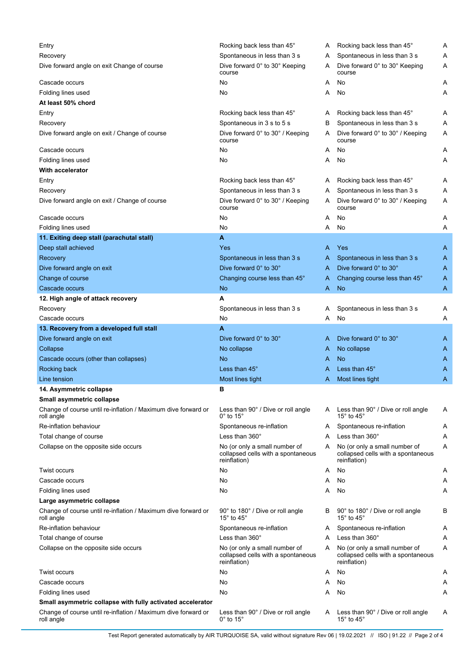| Entry                                                                                                    | Rocking back less than 45°                                                          | Α | Rocking back less than 45°                                                          | Α |
|----------------------------------------------------------------------------------------------------------|-------------------------------------------------------------------------------------|---|-------------------------------------------------------------------------------------|---|
| Recovery                                                                                                 | Spontaneous in less than 3 s                                                        | A | Spontaneous in less than 3 s                                                        | A |
| Dive forward angle on exit Change of course                                                              | Dive forward 0° to 30° Keeping<br>course                                            | A | Dive forward 0° to 30° Keeping<br>course                                            | Α |
| Cascade occurs                                                                                           | No                                                                                  | A | No                                                                                  | A |
| Folding lines used                                                                                       | No                                                                                  | A | No                                                                                  | Α |
| At least 50% chord                                                                                       |                                                                                     |   |                                                                                     |   |
| Entry                                                                                                    | Rocking back less than 45°                                                          | A | Rocking back less than 45°                                                          | A |
| Recovery                                                                                                 | Spontaneous in 3 s to 5 s                                                           | в | Spontaneous in less than 3 s                                                        | Α |
| Dive forward angle on exit / Change of course                                                            | Dive forward 0° to 30° / Keeping<br>course                                          | A | Dive forward 0° to 30° / Keeping<br>course                                          | Α |
| Cascade occurs                                                                                           | No                                                                                  | A | No                                                                                  | Α |
| Folding lines used                                                                                       | No                                                                                  | A | No                                                                                  | Α |
| With accelerator                                                                                         |                                                                                     |   |                                                                                     |   |
| Entry                                                                                                    | Rocking back less than 45°                                                          | A | Rocking back less than 45°                                                          | Α |
| Recovery                                                                                                 | Spontaneous in less than 3 s                                                        | A | Spontaneous in less than 3 s                                                        | Α |
| Dive forward angle on exit / Change of course                                                            | Dive forward 0° to 30° / Keeping<br>course                                          | A | Dive forward 0° to 30° / Keeping<br>course                                          | Α |
| Cascade occurs                                                                                           | No                                                                                  | A | No                                                                                  | Α |
| Folding lines used                                                                                       | No                                                                                  | A | No                                                                                  | Α |
| 11. Exiting deep stall (parachutal stall)                                                                | A                                                                                   |   |                                                                                     |   |
| Deep stall achieved                                                                                      | Yes                                                                                 | A | Yes                                                                                 | A |
| Recovery                                                                                                 | Spontaneous in less than 3 s                                                        | A | Spontaneous in less than 3 s                                                        | A |
| Dive forward angle on exit                                                                               | Dive forward 0° to 30°                                                              | A | Dive forward 0° to 30°                                                              | A |
| Change of course                                                                                         | Changing course less than 45°                                                       | A | Changing course less than 45°                                                       | A |
| Cascade occurs                                                                                           | <b>No</b>                                                                           | A | <b>No</b>                                                                           | A |
| 12. High angle of attack recovery                                                                        | A                                                                                   |   |                                                                                     |   |
| Recovery                                                                                                 | Spontaneous in less than 3 s                                                        | A | Spontaneous in less than 3 s                                                        | A |
| Cascade occurs                                                                                           | No                                                                                  | A | No                                                                                  | Α |
| 13. Recovery from a developed full stall                                                                 | A                                                                                   |   |                                                                                     |   |
| Dive forward angle on exit                                                                               | Dive forward 0° to 30°                                                              | A | Dive forward 0° to 30°                                                              | A |
| Collapse                                                                                                 | No collapse                                                                         | A | No collapse                                                                         | A |
| Cascade occurs (other than collapses)                                                                    | No                                                                                  | A | No                                                                                  | A |
| Rocking back                                                                                             | Less than 45°                                                                       | A | Less than $45^\circ$                                                                | Α |
|                                                                                                          |                                                                                     |   |                                                                                     |   |
| Line tension                                                                                             | Most lines tight<br>в                                                               | A | Most lines tight                                                                    | Α |
| 14. Asymmetric collapse                                                                                  |                                                                                     |   |                                                                                     |   |
| Small asymmetric collapse<br>Change of course until re-inflation / Maximum dive forward or<br>roll angle | Less than 90° / Dive or roll angle<br>$0^\circ$ to 15 $^\circ$                      |   | A Less than 90° / Dive or roll angle<br>15 $^{\circ}$ to 45 $^{\circ}$              | A |
| Re-inflation behaviour                                                                                   | Spontaneous re-inflation                                                            | A | Spontaneous re-inflation                                                            | A |
|                                                                                                          | Less than $360^\circ$                                                               | A | Less than $360^\circ$                                                               | Α |
| Total change of course                                                                                   |                                                                                     | A |                                                                                     | Α |
| Collapse on the opposite side occurs                                                                     | No (or only a small number of<br>collapsed cells with a spontaneous<br>reinflation) |   | No (or only a small number of<br>collapsed cells with a spontaneous<br>reinflation) |   |
| Twist occurs                                                                                             | No                                                                                  | A | No                                                                                  | Α |
| Cascade occurs                                                                                           | No                                                                                  | A | No                                                                                  | Α |
| Folding lines used                                                                                       | No                                                                                  | A | No                                                                                  | A |
| Large asymmetric collapse                                                                                |                                                                                     |   |                                                                                     |   |
| Change of course until re-inflation / Maximum dive forward or<br>roll angle                              | 90° to 180° / Dive or roll angle<br>15 $^{\circ}$ to 45 $^{\circ}$                  | B | 90° to 180° / Dive or roll angle<br>15 $^{\circ}$ to 45 $^{\circ}$                  | В |
| Re-inflation behaviour                                                                                   | Spontaneous re-inflation                                                            | A | Spontaneous re-inflation                                                            | Α |
| Total change of course                                                                                   | Less than $360^\circ$                                                               | A | Less than 360°                                                                      | Α |
| Collapse on the opposite side occurs                                                                     | No (or only a small number of<br>collapsed cells with a spontaneous<br>reinflation) | A | No (or only a small number of<br>collapsed cells with a spontaneous<br>reinflation) | Α |
| Twist occurs                                                                                             | No                                                                                  | A | No                                                                                  | A |
| Cascade occurs                                                                                           | No                                                                                  | A | No                                                                                  | Α |
| Folding lines used                                                                                       | No                                                                                  | A | No                                                                                  | A |
| Small asymmetric collapse with fully activated accelerator                                               |                                                                                     |   |                                                                                     |   |
| Change of course until re-inflation / Maximum dive forward or<br>roll angle                              | Less than 90° / Dive or roll angle<br>$0^\circ$ to 15 $^\circ$                      | A | Less than 90° / Dive or roll angle<br>15 $\degree$ to 45 $\degree$                  | Α |